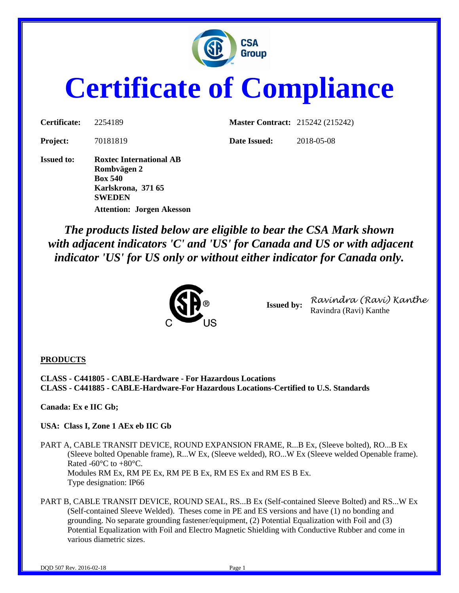

# **Certificate of Compliance**

| Certificate:      | 2254189                                                                                                | <b>Master Contract: 215242 (215242)</b> |            |
|-------------------|--------------------------------------------------------------------------------------------------------|-----------------------------------------|------------|
| <b>Project:</b>   | 70181819                                                                                               | Date Issued:                            | 2018-05-08 |
| <b>Issued to:</b> | <b>Roxtec International AB</b><br>Rombvägen 2<br><b>Box 540</b><br>Karlskrona, 371 65<br><b>SWEDEN</b> |                                         |            |

*The products listed below are eligible to bear the CSA Mark shown with adjacent indicators 'C' and 'US' for Canada and US or with adjacent indicator 'US' for US only or without either indicator for Canada only.*



**Attention: Jorgen Akesson**

**Issued by:** *Ravindra (Ravi) Kanthe* Ravindra (Ravi) Kanthe

#### **PRODUCTS**

**CLASS - C441805 - CABLE-Hardware - For Hazardous Locations CLASS - C441885 - CABLE-Hardware-For Hazardous Locations-Certified to U.S. Standards**

**Canada: Ex e IIC Gb;** 

**USA: Class I, Zone 1 AEx eb IIC Gb**

PART A, CABLE TRANSIT DEVICE, ROUND EXPANSION FRAME, R...B Ex, (Sleeve bolted), RO...B Ex (Sleeve bolted Openable frame), R...W Ex, (Sleeve welded), RO...W Ex (Sleeve welded Openable frame). Rated -60°C to +80°C. Modules RM Ex, RM PE Ex, RM PE B Ex, RM ES Ex and RM ES B Ex. Type designation: IP66

PART B, CABLE TRANSIT DEVICE, ROUND SEAL, RS...B Ex (Self-contained Sleeve Bolted) and RS...W Ex (Self-contained Sleeve Welded). Theses come in PE and ES versions and have (1) no bonding and grounding. No separate grounding fastener/equipment, (2) Potential Equalization with Foil and (3) Potential Equalization with Foil and Electro Magnetic Shielding with Conductive Rubber and come in various diametric sizes.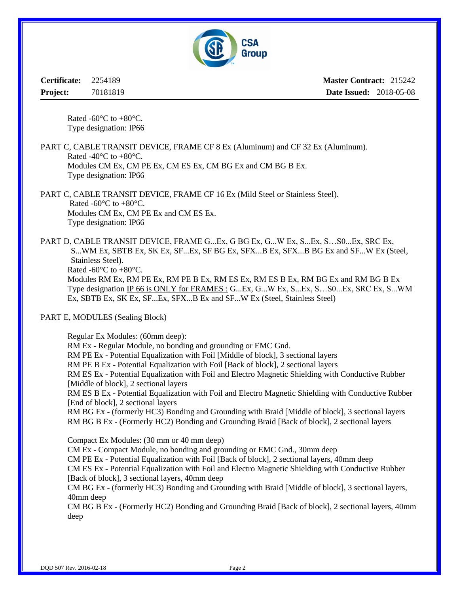

**Certificate:** 2254189 **Project:** 70181819 **Master Contract:** 215242 **Date Issued:** 2018-05-08

Rated -60 $\degree$ C to +80 $\degree$ C. Type designation: IP66

PART C, CABLE TRANSIT DEVICE, FRAME CF 8 Ex (Aluminum) and CF 32 Ex (Aluminum). Rated -40 $^{\circ}$ C to +80 $^{\circ}$ C. Modules CM Ex, CM PE Ex, CM ES Ex, CM BG Ex and CM BG B Ex. Type designation: IP66

PART C, CABLE TRANSIT DEVICE, FRAME CF 16 Ex (Mild Steel or Stainless Steel). Rated -60 $^{\circ}$ C to +80 $^{\circ}$ C. Modules CM Ex, CM PE Ex and CM ES Ex. Type designation: IP66

PART D, CABLE TRANSIT DEVICE, FRAME G...Ex, G BG Ex, G...W Ex, S...Ex, S...S0...Ex, SRC Ex, S...WM Ex, SBTB Ex, SK Ex, SF...Ex, SF BG Ex, SFX...B Ex, SFX...B BG Ex and SF...W Ex (Steel, Stainless Steel). Rated -60 $\mathrm{^{\circ}C}$  to +80 $\mathrm{^{\circ}C}$ . Modules RM Ex, RM PE Ex, RM PE B Ex, RM ES Ex, RM ES B Ex, RM BG Ex and RM BG B Ex Type designation IP 66 is ONLY for FRAMES : G...Ex, G...W Ex, S...Ex, S…S0...Ex, SRC Ex, S...WM Ex, SBTB Ex, SK Ex, SF...Ex, SFX...B Ex and SF...W Ex (Steel, Stainless Steel)

PART E, MODULES (Sealing Block)

Regular Ex Modules: (60mm deep):

RM Ex - Regular Module, no bonding and grounding or EMC Gnd.

RM PE Ex - Potential Equalization with Foil [Middle of block], 3 sectional layers

RM PE B Ex - Potential Equalization with Foil [Back of block], 2 sectional layers

RM ES Ex - Potential Equalization with Foil and Electro Magnetic Shielding with Conductive Rubber [Middle of block], 2 sectional layers

RM ES B Ex - Potential Equalization with Foil and Electro Magnetic Shielding with Conductive Rubber [End of block], 2 sectional layers

RM BG Ex - (formerly HC3) Bonding and Grounding with Braid [Middle of block], 3 sectional layers RM BG B Ex - (Formerly HC2) Bonding and Grounding Braid [Back of block], 2 sectional layers

Compact Ex Modules: (30 mm or 40 mm deep)

CM Ex - Compact Module, no bonding and grounding or EMC Gnd., 30mm deep

CM PE Ex - Potential Equalization with Foil [Back of block], 2 sectional layers, 40mm deep

CM ES Ex - Potential Equalization with Foil and Electro Magnetic Shielding with Conductive Rubber [Back of block], 3 sectional layers, 40mm deep

CM BG Ex - (formerly HC3) Bonding and Grounding with Braid [Middle of block], 3 sectional layers, 40mm deep

CM BG B Ex - (Formerly HC2) Bonding and Grounding Braid [Back of block], 2 sectional layers, 40mm deep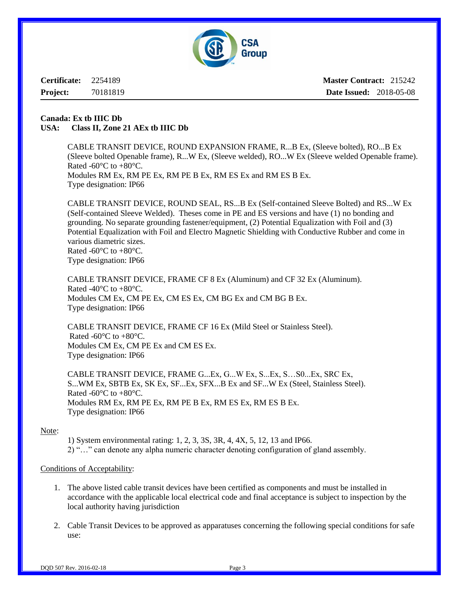

**Certificate:** 2254189 **Project:** 70181819

**Master Contract:** 215242 **Date Issued:** 2018-05-08

#### **Canada: Ex tb IIIC Db USA: Class II, Zone 21 AEx tb IIIC Db**

CABLE TRANSIT DEVICE, ROUND EXPANSION FRAME, R...B Ex, (Sleeve bolted), RO...B Ex (Sleeve bolted Openable frame), R...W Ex, (Sleeve welded), RO...W Ex (Sleeve welded Openable frame). Rated -60 $\degree$ C to +80 $\degree$ C. Modules RM Ex, RM PE Ex, RM PE B Ex, RM ES Ex and RM ES B Ex. Type designation: IP66

CABLE TRANSIT DEVICE, ROUND SEAL, RS...B Ex (Self-contained Sleeve Bolted) and RS...W Ex (Self-contained Sleeve Welded). Theses come in PE and ES versions and have (1) no bonding and grounding. No separate grounding fastener/equipment, (2) Potential Equalization with Foil and (3) Potential Equalization with Foil and Electro Magnetic Shielding with Conductive Rubber and come in various diametric sizes. Rated -60 $^{\circ}$ C to +80 $^{\circ}$ C.

Type designation: IP66

CABLE TRANSIT DEVICE, FRAME CF 8 Ex (Aluminum) and CF 32 Ex (Aluminum). Rated -40 $^{\circ}$ C to +80 $^{\circ}$ C. Modules CM Ex, CM PE Ex, CM ES Ex, CM BG Ex and CM BG B Ex. Type designation: IP66

CABLE TRANSIT DEVICE, FRAME CF 16 Ex (Mild Steel or Stainless Steel). Rated -60 $^{\circ}$ C to +80 $^{\circ}$ C. Modules CM Ex, CM PE Ex and CM ES Ex. Type designation: IP66

CABLE TRANSIT DEVICE, FRAME G...Ex, G...W Ex, S...Ex, S…S0...Ex, SRC Ex, S...WM Ex, SBTB Ex, SK Ex, SF...Ex, SFX...B Ex and SF...W Ex (Steel, Stainless Steel). Rated -60 $^{\circ}$ C to +80 $^{\circ}$ C. Modules RM Ex, RM PE Ex, RM PE B Ex, RM ES Ex, RM ES B Ex. Type designation: IP66

#### Note:

1) System environmental rating: 1, 2, 3, 3S, 3R, 4, 4X, 5, 12, 13 and IP66. 2) "…" can denote any alpha numeric character denoting configuration of gland assembly.

#### Conditions of Acceptability:

- 1. The above listed cable transit devices have been certified as components and must be installed in accordance with the applicable local electrical code and final acceptance is subject to inspection by the local authority having jurisdiction
- 2. Cable Transit Devices to be approved as apparatuses concerning the following special conditions for safe use: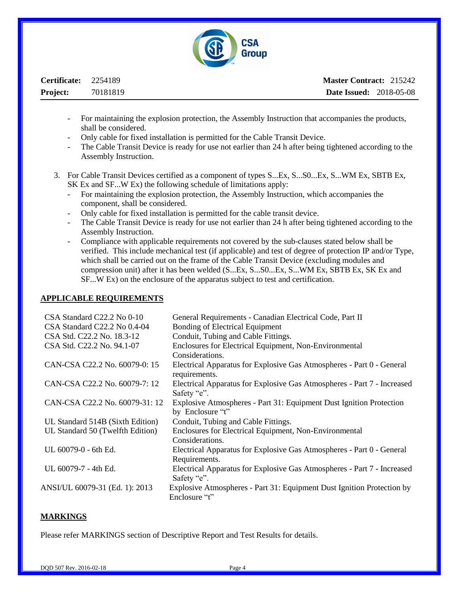

| Certificate: 2254189 |          | <b>Master Contract: 215242</b> |  |
|----------------------|----------|--------------------------------|--|
| <b>Project:</b>      | 70181819 | <b>Date Issued: 2018-05-08</b> |  |

- For maintaining the explosion protection, the Assembly Instruction that accompanies the products, shall be considered.
- Only cable for fixed installation is permitted for the Cable Transit Device.
- The Cable Transit Device is ready for use not earlier than 24 h after being tightened according to the Assembly Instruction.
- 3. For Cable Transit Devices certified as a component of types S...Ex, S...S0...Ex, S...WM Ex, SBTB Ex, SK Ex and SF...W Ex) the following schedule of limitations apply:
	- For maintaining the explosion protection, the Assembly Instruction, which accompanies the component, shall be considered.
	- Only cable for fixed installation is permitted for the cable transit device.
	- The Cable Transit Device is ready for use not earlier than 24 h after being tightened according to the Assembly Instruction.
	- Compliance with applicable requirements not covered by the sub-clauses stated below shall be verified. This include mechanical test (if applicable) and test of degree of protection IP and/or Type, which shall be carried out on the frame of the Cable Transit Device (excluding modules and compression unit) after it has been welded (S...Ex, S...S0...Ex, S...WM Ex, SBTB Ex, SK Ex and SF...W Ex) on the enclosure of the apparatus subject to test and certification.

#### **APPLICABLE REQUIREMENTS**

| CSA Standard C22.2 No 0-10       | General Requirements - Canadian Electrical Code, Part II                |
|----------------------------------|-------------------------------------------------------------------------|
| CSA Standard C22.2 No 0.4-04     | Bonding of Electrical Equipment                                         |
| CSA Std. C22.2 No. 18.3-12       | Conduit, Tubing and Cable Fittings.                                     |
| CSA Std. C22.2 No. 94.1-07       | Enclosures for Electrical Equipment, Non-Environmental                  |
|                                  | Considerations.                                                         |
| CAN-CSA C22.2 No. 60079-0: 15    | Electrical Apparatus for Explosive Gas Atmospheres - Part 0 - General   |
|                                  | requirements.                                                           |
| CAN-CSA C22.2 No. 60079-7: 12    | Electrical Apparatus for Explosive Gas Atmospheres - Part 7 - Increased |
|                                  | Safety "e".                                                             |
| CAN-CSA C22.2 No. 60079-31: 12   | Explosive Atmospheres - Part 31: Equipment Dust Ignition Protection     |
|                                  | by Enclosure "t"                                                        |
| UL Standard 514B (Sixth Edition) | Conduit, Tubing and Cable Fittings.                                     |
| UL Standard 50 (Twelfth Edition) | Enclosures for Electrical Equipment, Non-Environmental                  |
|                                  | Considerations.                                                         |
| UL 60079-0 - 6th Ed.             | Electrical Apparatus for Explosive Gas Atmospheres - Part 0 - General   |
|                                  | Requirements.                                                           |
| UL 60079-7 - 4th Ed.             | Electrical Apparatus for Explosive Gas Atmospheres - Part 7 - Increased |
|                                  | Safety "e".                                                             |
| ANSI/UL 60079-31 (Ed. 1): 2013   | Explosive Atmospheres - Part 31: Equipment Dust Ignition Protection by  |
|                                  | Enclosure "t"                                                           |
|                                  |                                                                         |

#### **MARKINGS**

Please refer MARKINGS section of Descriptive Report and Test Results for details.